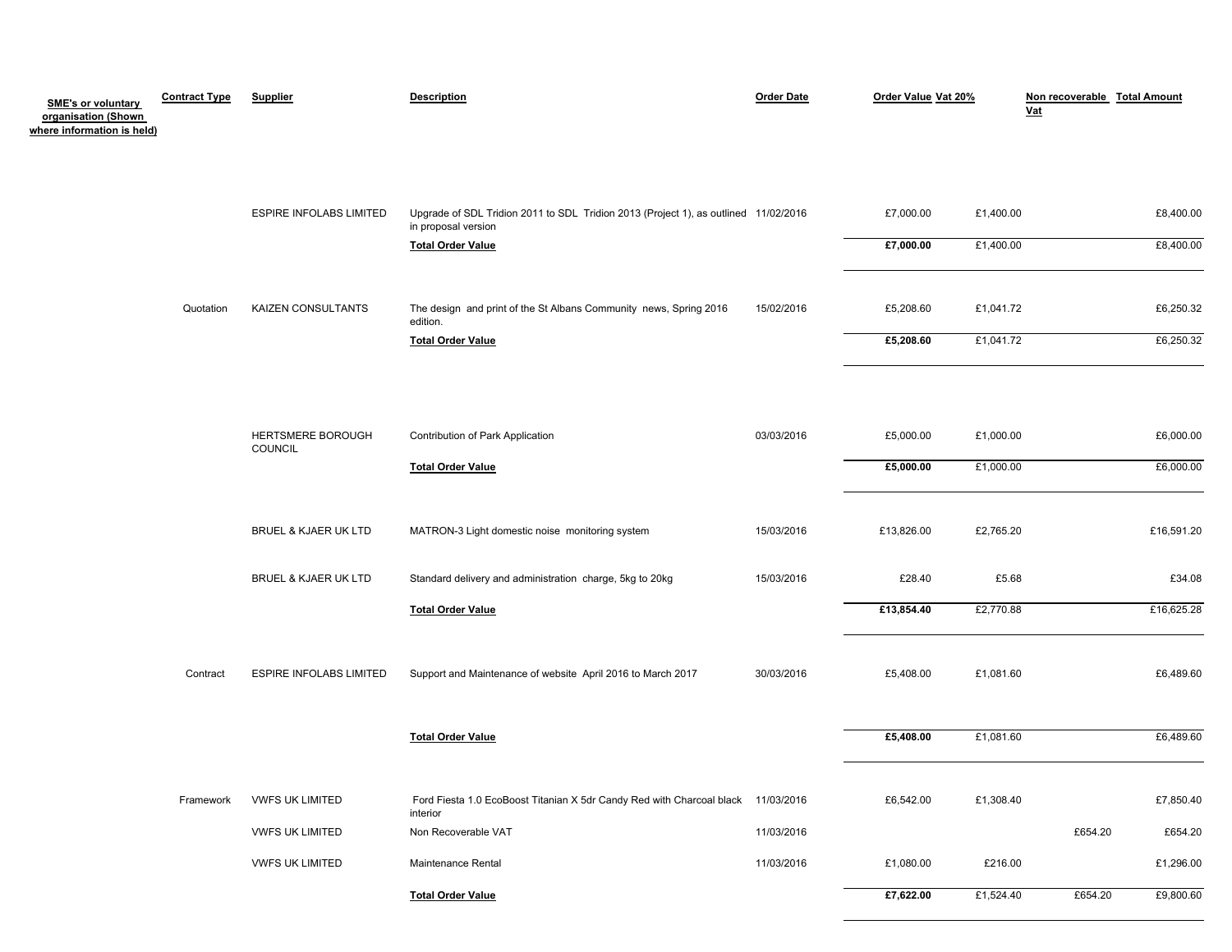| <b>SME's or voluntary</b><br>organisation (Shown<br>where information is held) | <b>Contract Type</b> | <b>Supplier</b>                                  | <b>Description</b>                                                                                                                     | <b>Order Date</b> | Order Value Vat 20%                  |                                     | Non recoverable Total Amount<br>Vat  |
|--------------------------------------------------------------------------------|----------------------|--------------------------------------------------|----------------------------------------------------------------------------------------------------------------------------------------|-------------------|--------------------------------------|-------------------------------------|--------------------------------------|
|                                                                                |                      | <b>ESPIRE INFOLABS LIMITED</b>                   | Upgrade of SDL Tridion 2011 to SDL Tridion 2013 (Project 1), as outlined 11/02/2016<br>in proposal version<br><b>Total Order Value</b> |                   | £7,000.00<br>£7,000.00               | £1,400.00<br>£1,400.00              | £8,400.00<br>£8,400.00               |
|                                                                                | Quotation            | KAIZEN CONSULTANTS                               | The design and print of the St Albans Community news, Spring 2016<br>edition.<br><b>Total Order Value</b>                              | 15/02/2016        | £5,208.60<br>£5,208.60               | £1,041.72<br>£1,041.72              | £6,250.32<br>£6,250.32               |
|                                                                                |                      | HERTSMERE BOROUGH<br>COUNCIL                     | Contribution of Park Application<br><b>Total Order Value</b>                                                                           | 03/03/2016        | £5,000.00<br>£5,000.00               | £1,000.00<br>£1,000.00              | £6,000.00<br>£6,000.00               |
|                                                                                |                      | BRUEL & KJAER UK LTD                             | MATRON-3 Light domestic noise monitoring system                                                                                        | 15/03/2016        | £13,826.00                           | £2,765.20                           | £16,591.20                           |
|                                                                                |                      | BRUEL & KJAER UK LTD                             | Standard delivery and administration charge, 5kg to 20kg                                                                               | 15/03/2016        | £28.40                               | £5.68                               | £34.08                               |
|                                                                                | Contract             | <b>ESPIRE INFOLABS LIMITED</b>                   | <b>Total Order Value</b><br>Support and Maintenance of website April 2016 to March 2017<br><b>Total Order Value</b>                    | 30/03/2016        | £13,854.40<br>£5,408.00<br>£5,408.00 | £2,770.88<br>£1,081.60<br>£1,081.60 | £16,625.28<br>£6,489.60<br>£6,489.60 |
|                                                                                | Framework            | <b>VWFS UK LIMITED</b><br><b>VWFS UK LIMITED</b> | Ford Fiesta 1.0 EcoBoost Titanian X 5dr Candy Red with Charcoal black 11/03/2016<br>interior<br>Non Recoverable VAT                    | 11/03/2016        | £6,542.00                            | £1,308.40                           | £7,850.40<br>£654.20<br>£654.20      |
|                                                                                |                      | <b>VWFS UK LIMITED</b>                           | Maintenance Rental                                                                                                                     | 11/03/2016        | £1,080.00                            | £216.00                             | £1,296.00                            |
|                                                                                |                      |                                                  | <b>Total Order Value</b>                                                                                                               |                   | £7,622.00                            | £1,524.40                           | £654.20<br>£9,800.60                 |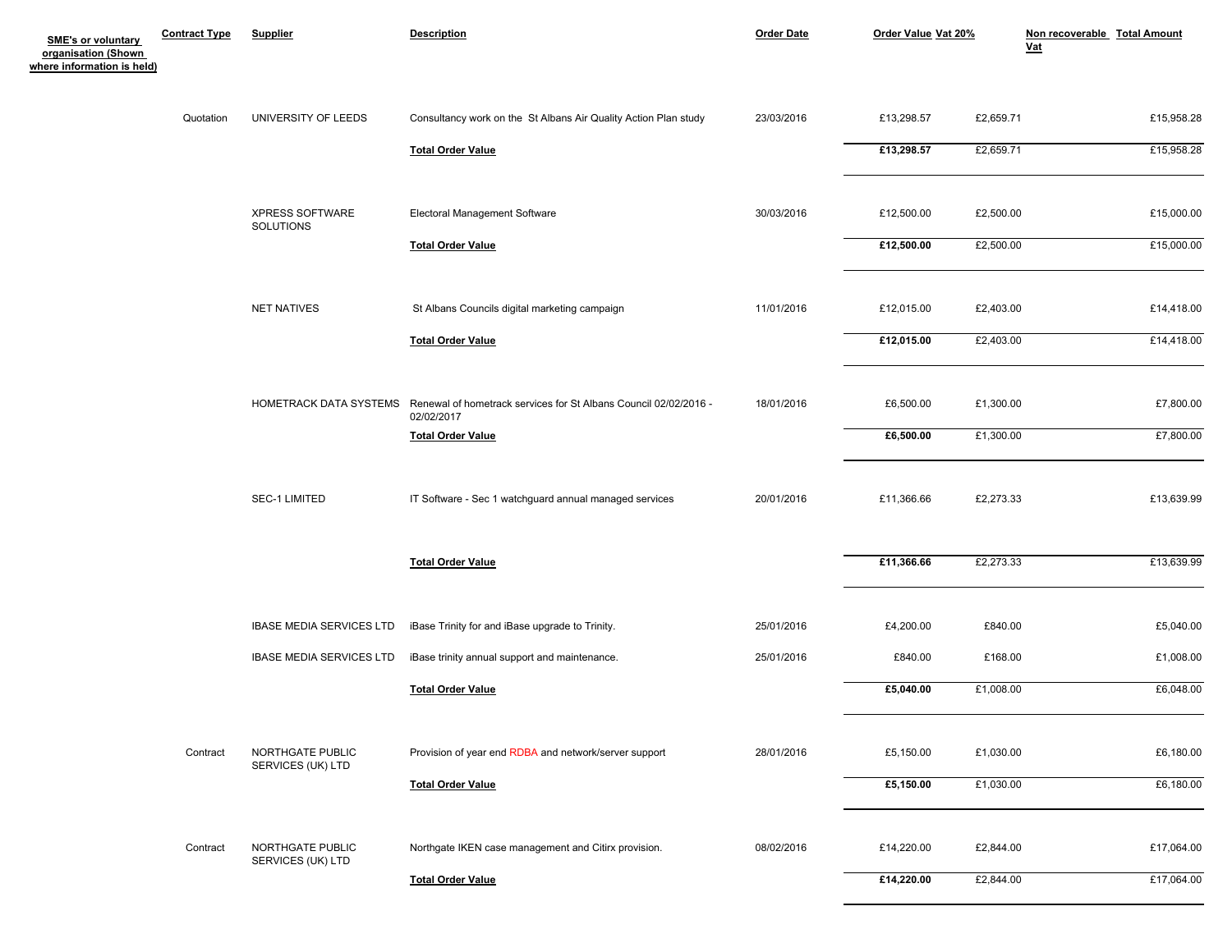| <b>SME's or voluntary</b>                         | <b>Contract Type</b> | <b>Supplier</b>                       | <b>Description</b>                                                             | <b>Order Date</b> | Order Value Vat 20% |           | Non recoverable Total Amount<br>$vat$ |
|---------------------------------------------------|----------------------|---------------------------------------|--------------------------------------------------------------------------------|-------------------|---------------------|-----------|---------------------------------------|
| organisation (Shown<br>where information is held) |                      |                                       |                                                                                |                   |                     |           |                                       |
|                                                   | Quotation            | UNIVERSITY OF LEEDS                   | Consultancy work on the St Albans Air Quality Action Plan study                | 23/03/2016        | £13,298.57          | £2,659.71 | £15,958.28                            |
|                                                   |                      |                                       | <b>Total Order Value</b>                                                       |                   | £13,298.57          | £2,659.71 | £15,958.28                            |
|                                                   |                      | XPRESS SOFTWARE                       | Electoral Management Software                                                  | 30/03/2016        | £12,500.00          | £2,500.00 | £15,000.00                            |
|                                                   |                      | SOLUTIONS                             | <b>Total Order Value</b>                                                       |                   | £12,500.00          | £2,500.00 | £15,000.00                            |
|                                                   |                      | <b>NET NATIVES</b>                    | St Albans Councils digital marketing campaign                                  | 11/01/2016        | £12,015.00          | £2,403.00 | £14,418.00                            |
|                                                   |                      |                                       | <b>Total Order Value</b>                                                       |                   | £12,015.00          | £2,403.00 | £14,418.00                            |
|                                                   |                      | HOMETRACK DATA SYSTEMS                | Renewal of hometrack services for St Albans Council 02/02/2016 -<br>02/02/2017 | 18/01/2016        | £6,500.00           | £1,300.00 | £7,800.00                             |
|                                                   |                      |                                       | <b>Total Order Value</b>                                                       |                   | £6,500.00           | £1,300.00 | £7,800.00                             |
|                                                   |                      | SEC-1 LIMITED                         | IT Software - Sec 1 watchguard annual managed services                         | 20/01/2016        | £11,366.66          | £2,273.33 | £13,639.99                            |
|                                                   |                      |                                       | <b>Total Order Value</b>                                                       |                   | £11,366.66          | £2,273.33 | £13,639.99                            |
|                                                   |                      | <b>IBASE MEDIA SERVICES LTD</b>       | iBase Trinity for and iBase upgrade to Trinity.                                | 25/01/2016        | £4,200.00           | £840.00   | £5,040.00                             |
|                                                   |                      | <b>IBASE MEDIA SERVICES LTD</b>       | iBase trinity annual support and maintenance.                                  | 25/01/2016        | £840.00             | £168.00   | £1,008.00                             |
|                                                   |                      |                                       | <b>Total Order Value</b>                                                       |                   | £5,040.00           | £1,008.00 | £6,048.00                             |
|                                                   | Contract             | NORTHGATE PUBLIC<br>SERVICES (UK) LTD | Provision of year end RDBA and network/server support                          | 28/01/2016        | £5,150.00           | £1,030.00 | £6,180.00                             |
|                                                   |                      |                                       | <b>Total Order Value</b>                                                       |                   | £5,150.00           | £1,030.00 | £6,180.00                             |
|                                                   | Contract             | NORTHGATE PUBLIC                      | Northgate IKEN case management and Citirx provision.                           | 08/02/2016        | £14,220.00          | £2,844.00 | £17,064.00                            |
|                                                   |                      | SERVICES (UK) LTD                     | <b>Total Order Value</b>                                                       |                   | £14,220.00          | £2,844.00 | £17,064.00                            |
|                                                   |                      |                                       |                                                                                |                   |                     |           |                                       |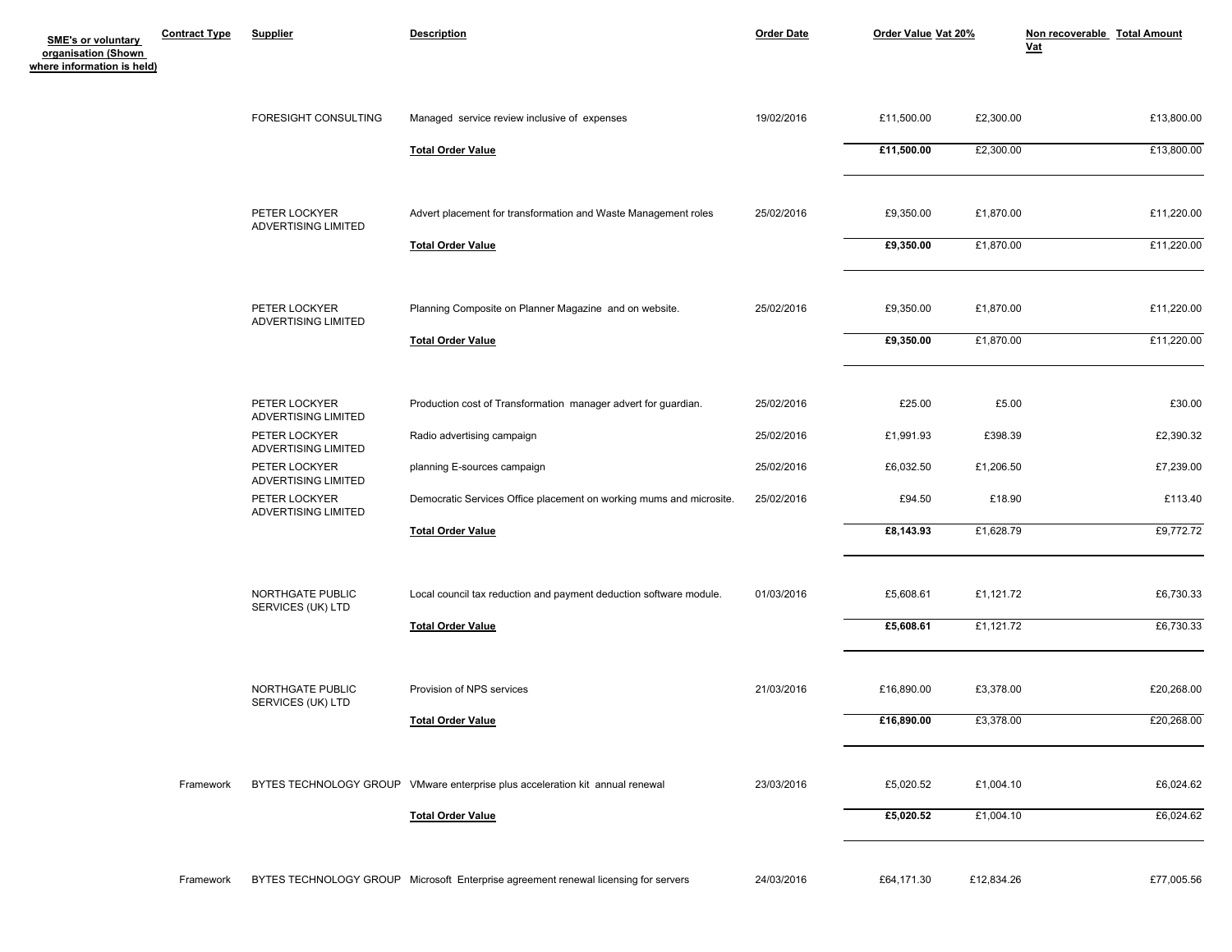| <b>SME's or voluntary</b><br>organisation (Shown<br>where information is held) | <b>Contract Type</b> | <b>Supplier</b>                       | <b>Description</b>                                                                  | <b>Order Date</b> | Order Value Vat 20% |            | Non recoverable Total Amount<br>$vat$ |  |
|--------------------------------------------------------------------------------|----------------------|---------------------------------------|-------------------------------------------------------------------------------------|-------------------|---------------------|------------|---------------------------------------|--|
|                                                                                |                      | FORESIGHT CONSULTING                  | Managed service review inclusive of expenses                                        | 19/02/2016        | £11,500.00          | £2,300.00  | £13,800.00                            |  |
|                                                                                |                      |                                       | <b>Total Order Value</b>                                                            |                   | £11,500.00          | £2,300.00  | £13,800.00                            |  |
|                                                                                |                      | PETER LOCKYER<br>ADVERTISING LIMITED  | Advert placement for transformation and Waste Management roles                      | 25/02/2016        | £9,350.00           | £1,870.00  | £11,220.00                            |  |
|                                                                                |                      |                                       | <b>Total Order Value</b>                                                            |                   | £9,350.00           | £1,870.00  | £11,220.00                            |  |
|                                                                                |                      | PETER LOCKYER<br>ADVERTISING LIMITED  | Planning Composite on Planner Magazine and on website.                              | 25/02/2016        | £9,350.00           | £1,870.00  | £11,220.00                            |  |
|                                                                                |                      |                                       | <b>Total Order Value</b>                                                            |                   | £9,350.00           | £1,870.00  | £11,220.00                            |  |
|                                                                                |                      | PETER LOCKYER<br>ADVERTISING LIMITED  | Production cost of Transformation manager advert for guardian.                      | 25/02/2016        | £25.00              | £5.00      | £30.00                                |  |
|                                                                                |                      | PETER LOCKYER<br>ADVERTISING LIMITED  | Radio advertising campaign                                                          | 25/02/2016        | £1,991.93           | £398.39    | £2,390.32                             |  |
|                                                                                |                      | PETER LOCKYER<br>ADVERTISING LIMITED  | planning E-sources campaign                                                         | 25/02/2016        | £6,032.50           | £1,206.50  | £7,239.00                             |  |
|                                                                                |                      | PETER LOCKYER<br>ADVERTISING LIMITED  | Democratic Services Office placement on working mums and microsite.                 | 25/02/2016        | £94.50              | £18.90     | £113.40                               |  |
|                                                                                |                      |                                       | <b>Total Order Value</b>                                                            |                   | £8,143.93           | £1,628.79  | £9,772.72                             |  |
|                                                                                |                      | NORTHGATE PUBLIC<br>SERVICES (UK) LTD | Local council tax reduction and payment deduction software module.                  | 01/03/2016        | £5,608.61           | £1,121.72  | £6,730.33                             |  |
|                                                                                |                      |                                       | <b>Total Order Value</b>                                                            |                   | £5,608.61           | £1,121.72  | £6,730.33                             |  |
|                                                                                |                      | NORTHGATE PUBLIC<br>SERVICES (UK) LTD | Provision of NPS services                                                           | 21/03/2016        | £16,890.00          | £3,378.00  | £20,268.00                            |  |
|                                                                                |                      |                                       | <b>Total Order Value</b>                                                            |                   | £16,890.00          | £3,378.00  | £20,268.00                            |  |
|                                                                                | Framework            |                                       | BYTES TECHNOLOGY GROUP VMware enterprise plus acceleration kit annual renewal       | 23/03/2016        | £5,020.52           | £1,004.10  | £6,024.62                             |  |
|                                                                                |                      |                                       | <b>Total Order Value</b>                                                            |                   | £5,020.52           | £1,004.10  | £6,024.62                             |  |
|                                                                                | Framework            |                                       | BYTES TECHNOLOGY GROUP Microsoft Enterprise agreement renewal licensing for servers | 24/03/2016        | £64,171.30          | £12,834.26 | £77,005.56                            |  |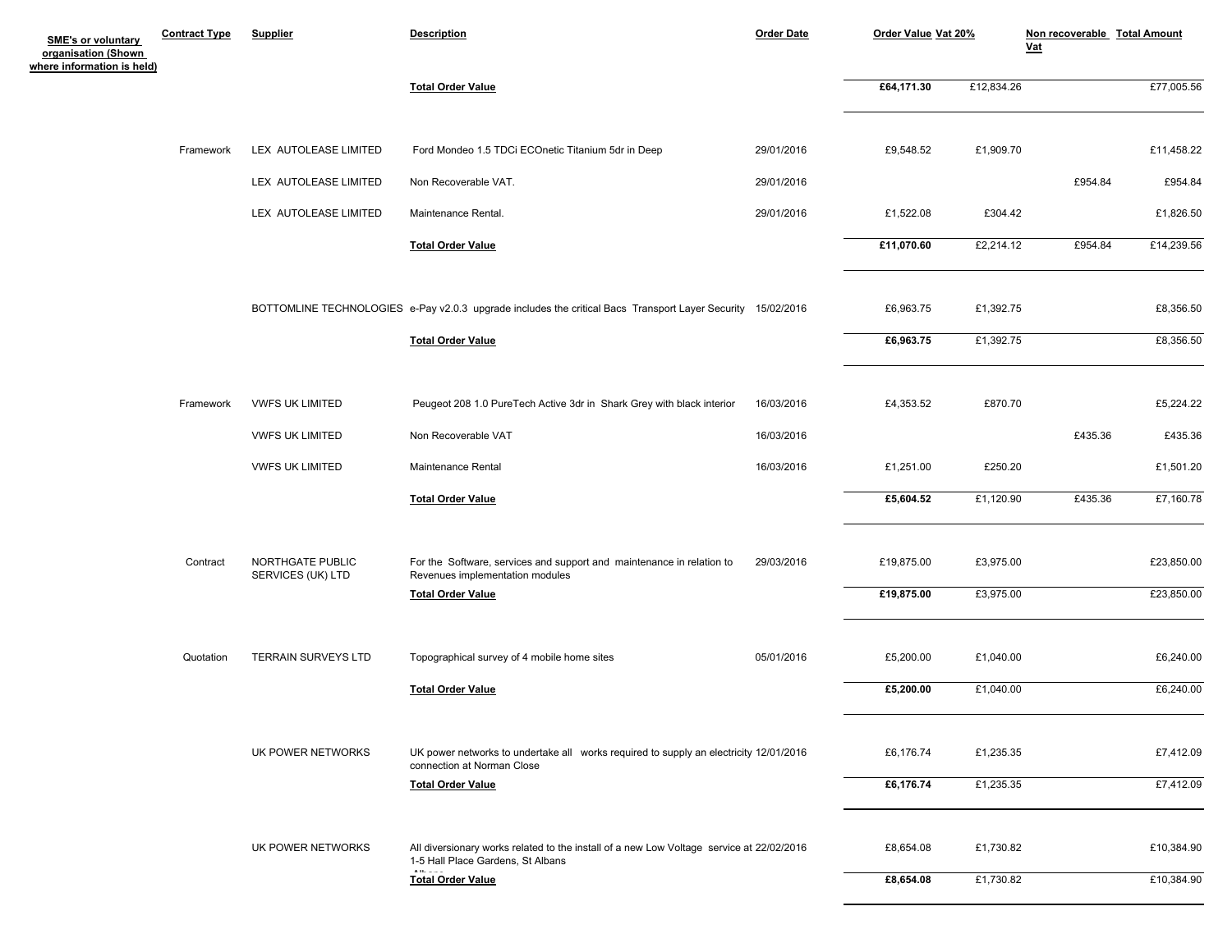| SME's or voluntary<br>organisation (Shown<br>where information is held) | <b>Contract Type</b> | <b>Supplier</b>                       | <b>Description</b>                                                                                                  | <b>Order Date</b> | Order Value Vat 20% |            | Non recoverable Total Amount<br>$vat$ |            |
|-------------------------------------------------------------------------|----------------------|---------------------------------------|---------------------------------------------------------------------------------------------------------------------|-------------------|---------------------|------------|---------------------------------------|------------|
|                                                                         |                      |                                       | <b>Total Order Value</b>                                                                                            |                   | £64,171.30          | £12,834.26 |                                       | £77,005.56 |
|                                                                         | Framework            | LEX AUTOLEASE LIMITED                 | Ford Mondeo 1.5 TDCi ECOnetic Titanium 5dr in Deep                                                                  | 29/01/2016        | £9,548.52           | £1,909.70  |                                       | £11,458.22 |
|                                                                         |                      | LEX AUTOLEASE LIMITED                 | Non Recoverable VAT.                                                                                                | 29/01/2016        |                     |            | £954.84                               | £954.84    |
|                                                                         |                      | LEX AUTOLEASE LIMITED                 | Maintenance Rental.                                                                                                 | 29/01/2016        | £1,522.08           | £304.42    |                                       | £1,826.50  |
|                                                                         |                      |                                       | <b>Total Order Value</b>                                                                                            |                   | £11,070.60          | £2,214.12  | £954.84                               | £14,239.56 |
|                                                                         |                      |                                       | BOTTOMLINE TECHNOLOGIES e-Pay v2.0.3 upgrade includes the critical Bacs Transport Layer Security 15/02/2016         |                   | £6,963.75           | £1,392.75  |                                       | £8,356.50  |
|                                                                         |                      |                                       | <b>Total Order Value</b>                                                                                            |                   | £6,963.75           | £1,392.75  |                                       | £8,356.50  |
|                                                                         | Framework            | <b>VWFS UK LIMITED</b>                | Peugeot 208 1.0 PureTech Active 3dr in Shark Grey with black interior                                               | 16/03/2016        | £4,353.52           | £870.70    |                                       | £5,224.22  |
|                                                                         |                      | <b>VWFS UK LIMITED</b>                | Non Recoverable VAT                                                                                                 | 16/03/2016        |                     |            | £435.36                               | £435.36    |
|                                                                         |                      | <b>VWFS UK LIMITED</b>                | Maintenance Rental                                                                                                  | 16/03/2016        | £1,251.00           | £250.20    |                                       | £1,501.20  |
|                                                                         |                      |                                       | <b>Total Order Value</b>                                                                                            |                   | £5,604.52           | £1,120.90  | £435.36                               | £7,160.78  |
|                                                                         | Contract             | NORTHGATE PUBLIC<br>SERVICES (UK) LTD | For the Software, services and support and maintenance in relation to<br>Revenues implementation modules            | 29/03/2016        | £19,875.00          | £3,975.00  |                                       | £23,850.00 |
|                                                                         |                      |                                       | <b>Total Order Value</b>                                                                                            |                   | £19,875.00          | £3,975.00  |                                       | £23,850.00 |
|                                                                         | Quotation            | <b>TERRAIN SURVEYS LTD</b>            | Topographical survey of 4 mobile home sites                                                                         | 05/01/2016        | £5,200.00           | £1,040.00  |                                       | £6,240.00  |
|                                                                         |                      |                                       | <b>Total Order Value</b>                                                                                            |                   | £5,200.00           | £1,040.00  |                                       | £6,240.00  |
|                                                                         |                      | UK POWER NETWORKS                     | UK power networks to undertake all works required to supply an electricity 12/01/2016<br>connection at Norman Close |                   | £6,176.74           | £1,235.35  |                                       | £7,412.09  |
|                                                                         |                      |                                       | <b>Total Order Value</b>                                                                                            |                   | £6,176.74           | £1,235.35  |                                       | £7,412.09  |
|                                                                         |                      | UK POWER NETWORKS                     | All diversionary works related to the install of a new Low Voltage service at 22/02/2016                            |                   | £8,654.08           | £1,730.82  |                                       | £10,384.90 |
|                                                                         |                      |                                       | 1-5 Hall Place Gardens, St Albans<br><b>Total Order Value</b>                                                       |                   | £8,654.08           | £1,730.82  |                                       | £10,384.90 |
|                                                                         |                      |                                       |                                                                                                                     |                   |                     |            |                                       |            |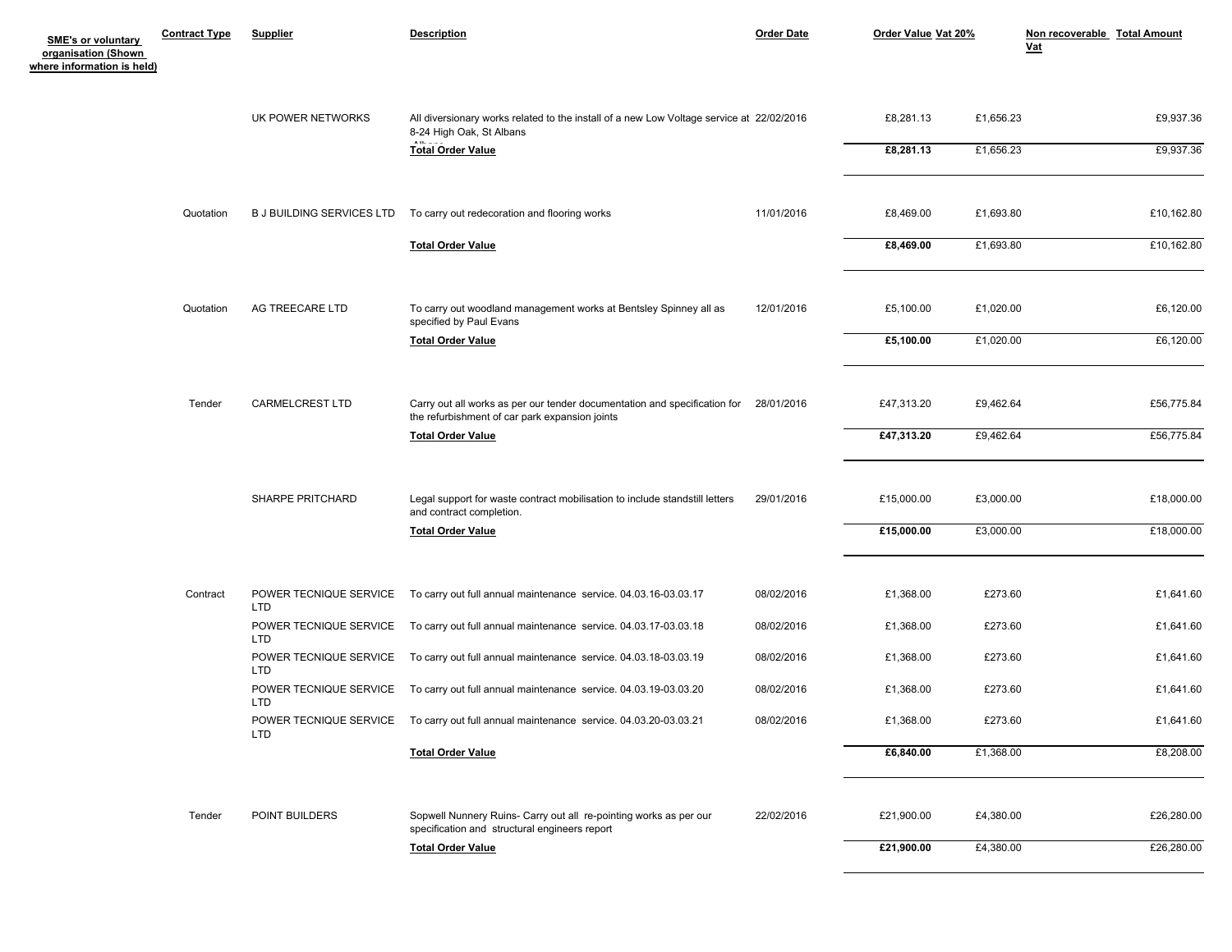| <b>SME's or voluntary</b><br>organisation (Shown<br>where information is held) | <b>Contract Type</b> | <b>Supplier</b>                  | <b>Description</b>                                                                                                          | <b>Order Date</b> | Order Value Vat 20% |           | Non recoverable Total Amount<br><u>Vat</u> |
|--------------------------------------------------------------------------------|----------------------|----------------------------------|-----------------------------------------------------------------------------------------------------------------------------|-------------------|---------------------|-----------|--------------------------------------------|
|                                                                                |                      | UK POWER NETWORKS                | All diversionary works related to the install of a new Low Voltage service at 22/02/2016<br>8-24 High Oak, St Albans        |                   | £8,281.13           | £1,656.23 | £9,937.36                                  |
|                                                                                |                      |                                  | <b>Total Order Value</b>                                                                                                    |                   | £8,281.13           | £1,656.23 | £9,937.36                                  |
|                                                                                | Quotation            | <b>B J BUILDING SERVICES LTD</b> | To carry out redecoration and flooring works                                                                                | 11/01/2016        | £8,469.00           | £1,693.80 | £10,162.80                                 |
|                                                                                |                      |                                  | <b>Total Order Value</b>                                                                                                    |                   | £8,469.00           | £1,693.80 | £10,162.80                                 |
|                                                                                | Quotation            | AG TREECARE LTD                  | To carry out woodland management works at Bentsley Spinney all as<br>specified by Paul Evans                                | 12/01/2016        | £5,100.00           | £1,020.00 | £6,120.00                                  |
|                                                                                |                      |                                  | <b>Total Order Value</b>                                                                                                    |                   | £5,100.00           | £1,020.00 | £6,120.00                                  |
|                                                                                | Tender               | <b>CARMELCREST LTD</b>           | Carry out all works as per our tender documentation and specification for<br>the refurbishment of car park expansion joints | 28/01/2016        | £47,313.20          | £9,462.64 | £56,775.84                                 |
|                                                                                |                      |                                  | <b>Total Order Value</b>                                                                                                    |                   | £47,313.20          | £9,462.64 | £56,775.84                                 |
|                                                                                |                      | SHARPE PRITCHARD                 | Legal support for waste contract mobilisation to include standstill letters<br>and contract completion.                     | 29/01/2016        | £15,000.00          | £3,000.00 | £18,000.00                                 |
|                                                                                |                      |                                  | <b>Total Order Value</b>                                                                                                    |                   | £15,000.00          | £3,000.00 | £18,000.00                                 |
|                                                                                | Contract             | LTD                              | POWER TECNIQUE SERVICE To carry out full annual maintenance service. 04.03.16-03.03.17                                      | 08/02/2016        | £1,368.00           | £273.60   | £1,641.60                                  |
|                                                                                |                      | LTD                              | POWER TECNIQUE SERVICE To carry out full annual maintenance service. 04.03.17-03.03.18                                      | 08/02/2016        | £1,368.00           | £273.60   | £1,641.60                                  |
|                                                                                |                      | LTD                              | POWER TECNIQUE SERVICE To carry out full annual maintenance service. 04.03.18-03.03.19                                      | 08/02/2016        | £1,368.00           | £273.60   | £1,641.60                                  |
|                                                                                |                      | LTD                              | POWER TECNIQUE SERVICE To carry out full annual maintenance service. 04.03.19-03.03.20                                      | 08/02/2016        | £1,368.00           | £273.60   | £1,641.60                                  |
|                                                                                |                      | <b>LTD</b>                       | POWER TECNIQUE SERVICE To carry out full annual maintenance service. 04.03.20-03.03.21                                      | 08/02/2016        | £1,368.00           | £273.60   | £1.641.60                                  |
|                                                                                |                      |                                  | <b>Total Order Value</b>                                                                                                    |                   | £6,840.00           | £1,368.00 | £8,208.00                                  |
|                                                                                | Tender               | POINT BUILDERS                   | Sopwell Nunnery Ruins- Carry out all re-pointing works as per our<br>specification and structural engineers report          | 22/02/2016        | £21,900.00          | £4,380.00 | £26,280.00                                 |
|                                                                                |                      |                                  | <b>Total Order Value</b>                                                                                                    |                   | £21,900.00          | £4,380.00 | £26,280.00                                 |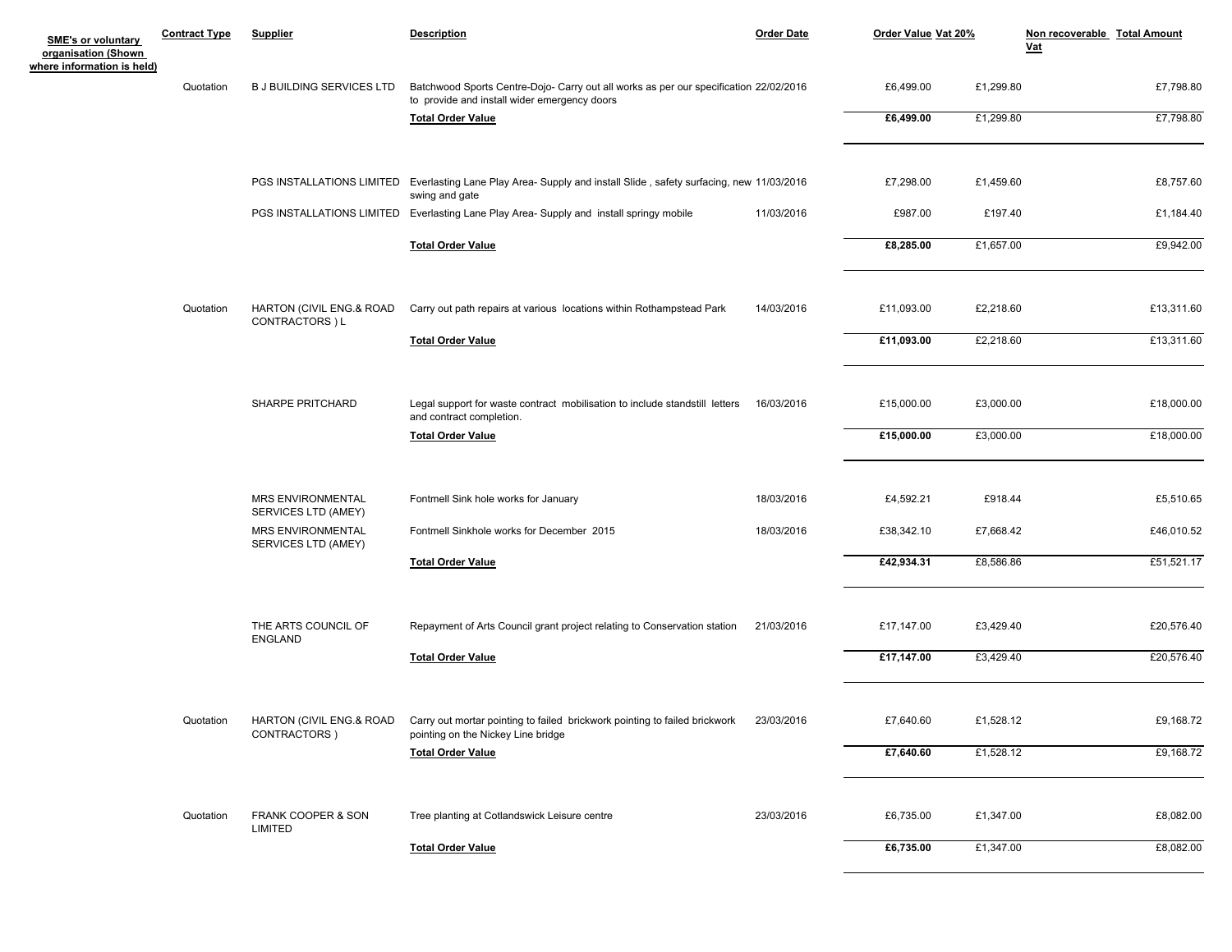| <b>SME's or voluntary</b><br>organisation (Shown<br>where information is held) | <b>Contract Type</b> | <b>Supplier</b>                                 | <b>Description</b>                                                                                                                    | <b>Order Date</b> | Order Value Vat 20% |           | Non recoverable Total Amount<br><b>Vat</b> |
|--------------------------------------------------------------------------------|----------------------|-------------------------------------------------|---------------------------------------------------------------------------------------------------------------------------------------|-------------------|---------------------|-----------|--------------------------------------------|
|                                                                                | Quotation            | <b>B J BUILDING SERVICES LTD</b>                | Batchwood Sports Centre-Dojo- Carry out all works as per our specification 22/02/2016<br>to provide and install wider emergency doors |                   | £6,499.00           | £1,299.80 | £7,798.80                                  |
|                                                                                |                      |                                                 | <b>Total Order Value</b>                                                                                                              |                   | £6,499.00           | £1,299.80 | £7,798.80                                  |
|                                                                                |                      |                                                 | PGS INSTALLATIONS LIMITED Everlasting Lane Play Area-Supply and install Slide, safety surfacing, new 11/03/2016<br>swing and gate     |                   | £7,298.00           | £1,459.60 | £8,757.60                                  |
|                                                                                |                      |                                                 | PGS INSTALLATIONS LIMITED Everlasting Lane Play Area- Supply and install springy mobile                                               | 11/03/2016        | £987.00             | £197.40   | £1,184.40                                  |
|                                                                                |                      |                                                 | <b>Total Order Value</b>                                                                                                              |                   | £8,285.00           | £1,657.00 | £9,942.00                                  |
|                                                                                | Quotation            | HARTON (CIVIL ENG.& ROAD<br>CONTRACTORS ) L     | Carry out path repairs at various locations within Rothampstead Park                                                                  | 14/03/2016        | £11,093.00          | £2,218.60 | £13,311.60                                 |
|                                                                                |                      |                                                 | <b>Total Order Value</b>                                                                                                              |                   | £11,093.00          | £2,218.60 | £13,311.60                                 |
|                                                                                |                      | SHARPE PRITCHARD                                | Legal support for waste contract mobilisation to include standstill letters<br>and contract completion.                               | 16/03/2016        | £15,000.00          | £3,000.00 | £18,000.00                                 |
|                                                                                |                      |                                                 | <b>Total Order Value</b>                                                                                                              |                   | £15,000.00          | £3,000.00 | £18,000.00                                 |
|                                                                                |                      | MRS ENVIRONMENTAL<br>SERVICES LTD (AMEY)        | Fontmell Sink hole works for January                                                                                                  | 18/03/2016        | £4,592.21           | £918.44   | £5,510.65                                  |
|                                                                                |                      | <b>MRS ENVIRONMENTAL</b><br>SERVICES LTD (AMEY) | Fontmell Sinkhole works for December 2015                                                                                             | 18/03/2016        | £38,342.10          | £7,668.42 | £46,010.52                                 |
|                                                                                |                      |                                                 | <b>Total Order Value</b>                                                                                                              |                   | £42,934.31          | £8,586.86 | £51,521.17                                 |
|                                                                                |                      | THE ARTS COUNCIL OF<br><b>ENGLAND</b>           | Repayment of Arts Council grant project relating to Conservation station                                                              | 21/03/2016        | £17,147.00          | £3,429.40 | £20,576.40                                 |
|                                                                                |                      |                                                 | <b>Total Order Value</b>                                                                                                              |                   | £17,147.00          | £3,429.40 | £20,576.40                                 |
|                                                                                | Quotation            | HARTON (CIVIL ENG.& ROAD<br>CONTRACTORS)        | Carry out mortar pointing to failed brickwork pointing to failed brickwork<br>pointing on the Nickey Line bridge                      | 23/03/2016        | £7,640.60           | £1,528.12 | £9,168.72                                  |
|                                                                                |                      |                                                 | <b>Total Order Value</b>                                                                                                              |                   | £7,640.60           | £1,528.12 | £9,168.72                                  |
|                                                                                | Quotation            | FRANK COOPER & SON<br>LIMITED                   | Tree planting at Cotlandswick Leisure centre                                                                                          | 23/03/2016        | £6,735.00           | £1,347.00 | £8,082.00                                  |
|                                                                                |                      |                                                 | <b>Total Order Value</b>                                                                                                              |                   | £6,735.00           | £1,347.00 | £8,082.00                                  |
|                                                                                |                      |                                                 |                                                                                                                                       |                   |                     |           |                                            |